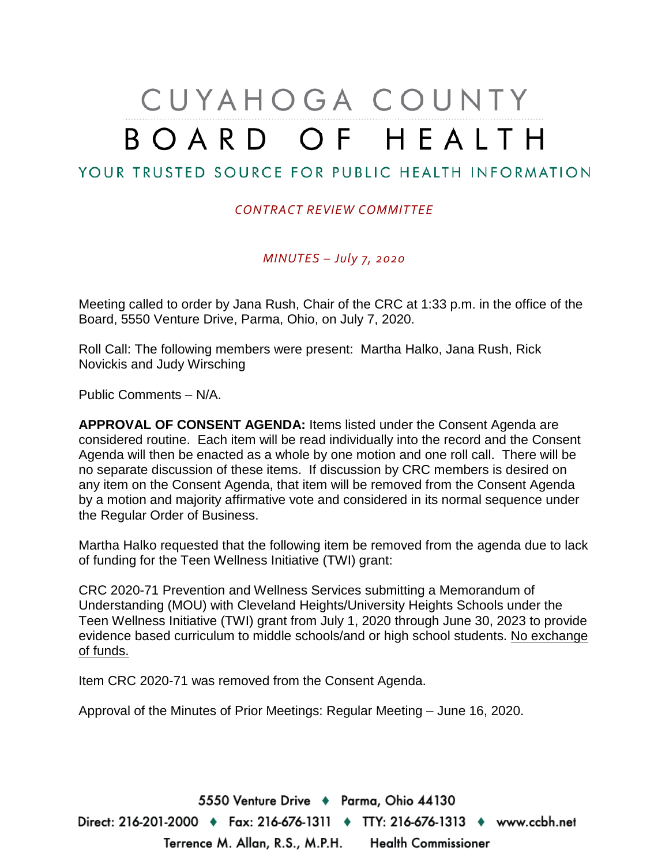# CUYAHOGA COUNTY BOARD OF HEALTH

### YOUR TRUSTED SOURCE FOR PUBLIC HEALTH INFORMATION

#### *CONTRACT REVIEW COMMITTEE*

*MINUTES – July 7, 2020*

Meeting called to order by Jana Rush, Chair of the CRC at 1:33 p.m. in the office of the Board, 5550 Venture Drive, Parma, Ohio, on July 7, 2020.

Roll Call: The following members were present: Martha Halko, Jana Rush, Rick Novickis and Judy Wirsching

Public Comments – N/A.

**APPROVAL OF CONSENT AGENDA:** Items listed under the Consent Agenda are considered routine. Each item will be read individually into the record and the Consent Agenda will then be enacted as a whole by one motion and one roll call. There will be no separate discussion of these items. If discussion by CRC members is desired on any item on the Consent Agenda, that item will be removed from the Consent Agenda by a motion and majority affirmative vote and considered in its normal sequence under the Regular Order of Business.

Martha Halko requested that the following item be removed from the agenda due to lack of funding for the Teen Wellness Initiative (TWI) grant:

CRC 2020-71 Prevention and Wellness Services submitting a Memorandum of Understanding (MOU) with Cleveland Heights/University Heights Schools under the Teen Wellness Initiative (TWI) grant from July 1, 2020 through June 30, 2023 to provide evidence based curriculum to middle schools/and or high school students. No exchange of funds.

Item CRC 2020-71 was removed from the Consent Agenda.

Approval of the Minutes of Prior Meetings: Regular Meeting – June 16, 2020.

5550 Venture Drive + Parma, Ohio 44130 Direct: 216-201-2000 ♦ Fax: 216-676-1311 ♦ TTY: 216-676-1313 ♦ www.ccbh.net Terrence M. Allan, R.S., M.P.H. Health Commissioner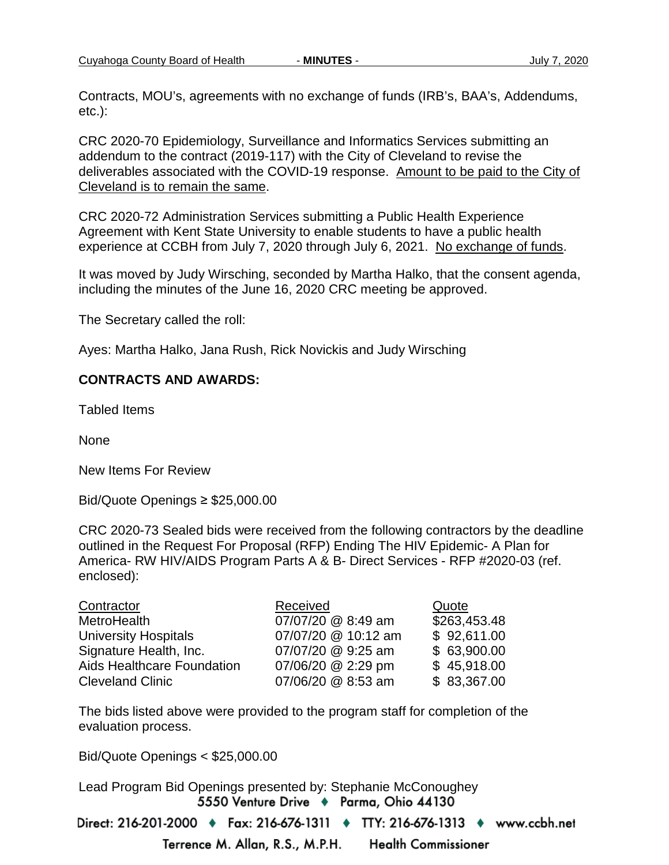Contracts, MOU's, agreements with no exchange of funds (IRB's, BAA's, Addendums, etc.):

CRC 2020-70 Epidemiology, Surveillance and Informatics Services submitting an addendum to the contract (2019-117) with the City of Cleveland to revise the deliverables associated with the COVID-19 response. Amount to be paid to the City of Cleveland is to remain the same.

CRC 2020-72 Administration Services submitting a Public Health Experience Agreement with Kent State University to enable students to have a public health experience at CCBH from July 7, 2020 through July 6, 2021. No exchange of funds.

It was moved by Judy Wirsching, seconded by Martha Halko, that the consent agenda, including the minutes of the June 16, 2020 CRC meeting be approved.

The Secretary called the roll:

Ayes: Martha Halko, Jana Rush, Rick Novickis and Judy Wirsching

#### **CONTRACTS AND AWARDS:**

Tabled Items

None

New Items For Review

Bid/Quote Openings ≥ \$25,000.00

CRC 2020-73 Sealed bids were received from the following contractors by the deadline outlined in the Request For Proposal (RFP) Ending The HIV Epidemic- A Plan for America- RW HIV/AIDS Program Parts A & B- Direct Services - RFP #2020-03 (ref. enclosed):

| Contractor                  | Received            | Quote        |
|-----------------------------|---------------------|--------------|
| MetroHealth                 | 07/07/20 @ 8:49 am  | \$263,453.48 |
| <b>University Hospitals</b> | 07/07/20 @ 10:12 am | \$92,611.00  |
| Signature Health, Inc.      | 07/07/20 @ 9:25 am  | \$63,900.00  |
| Aids Healthcare Foundation  | 07/06/20 @ 2:29 pm  | \$45,918.00  |
| <b>Cleveland Clinic</b>     | 07/06/20 @ 8:53 am  | \$83,367.00  |

The bids listed above were provided to the program staff for completion of the evaluation process.

Bid/Quote Openings < \$25,000.00

Lead Program Bid Openings presented by: Stephanie McConoughey5550 Venture Drive + Parma, Ohio 44130

Direct: 216-201-2000 ♦ Fax: 216-676-1311 ♦ TTY: 216-676-1313 ♦ www.ccbh.net

**Health Commissioner** 

Terrence M. Allan, R.S., M.P.H.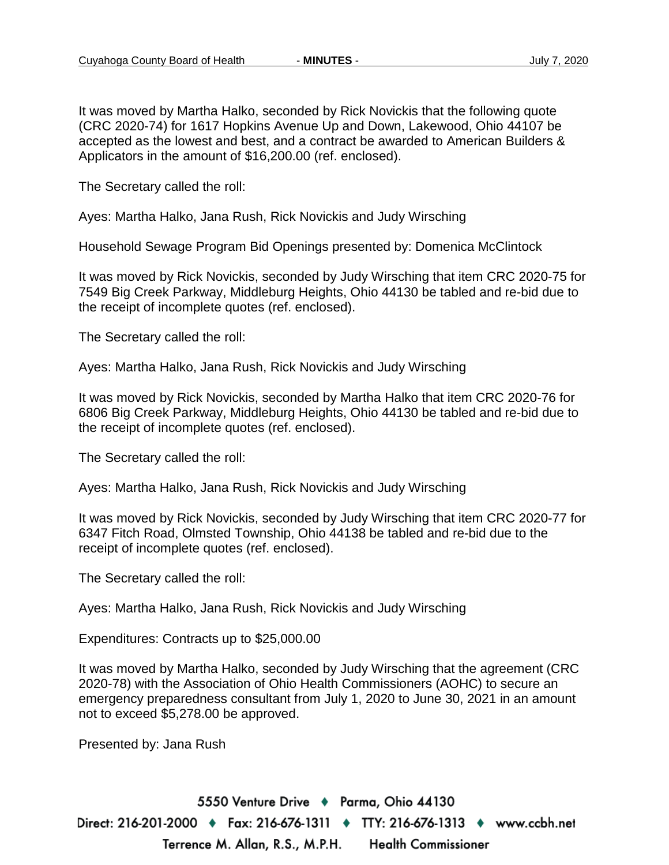It was moved by Martha Halko, seconded by Rick Novickis that the following quote (CRC 2020-74) for 1617 Hopkins Avenue Up and Down, Lakewood, Ohio 44107 be accepted as the lowest and best, and a contract be awarded to American Builders & Applicators in the amount of \$16,200.00 (ref. enclosed).

The Secretary called the roll:

Ayes: Martha Halko, Jana Rush, Rick Novickis and Judy Wirsching

Household Sewage Program Bid Openings presented by: Domenica McClintock

It was moved by Rick Novickis, seconded by Judy Wirsching that item CRC 2020-75 for 7549 Big Creek Parkway, Middleburg Heights, Ohio 44130 be tabled and re-bid due to the receipt of incomplete quotes (ref. enclosed).

The Secretary called the roll:

Ayes: Martha Halko, Jana Rush, Rick Novickis and Judy Wirsching

It was moved by Rick Novickis, seconded by Martha Halko that item CRC 2020-76 for 6806 Big Creek Parkway, Middleburg Heights, Ohio 44130 be tabled and re-bid due to the receipt of incomplete quotes (ref. enclosed).

The Secretary called the roll:

Ayes: Martha Halko, Jana Rush, Rick Novickis and Judy Wirsching

It was moved by Rick Novickis, seconded by Judy Wirsching that item CRC 2020-77 for 6347 Fitch Road, Olmsted Township, Ohio 44138 be tabled and re-bid due to the receipt of incomplete quotes (ref. enclosed).

The Secretary called the roll:

Ayes: Martha Halko, Jana Rush, Rick Novickis and Judy Wirsching

Expenditures: Contracts up to \$25,000.00

It was moved by Martha Halko, seconded by Judy Wirsching that the agreement (CRC 2020-78) with the Association of Ohio Health Commissioners (AOHC) to secure an emergency preparedness consultant from July 1, 2020 to June 30, 2021 in an amount not to exceed \$5,278.00 be approved.

Presented by: Jana Rush

5550 Venture Drive → Parma, Ohio 44130 Direct: 216-201-2000 ♦ Fax: 216-676-1311 ♦ TTY: 216-676-1313 ♦ www.ccbh.net Terrence M. Allan, R.S., M.P.H. **Health Commissioner**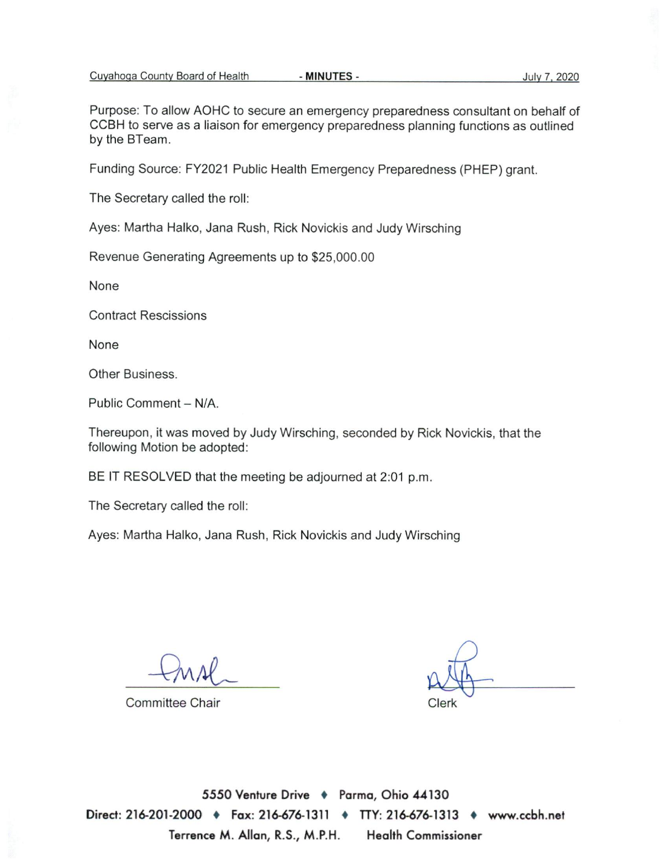Purpose: To allow AOHC to secure an emergency preparedness consultant on behalf of CCBH to serve as a liaison for emergency preparedness planning functions as outlined by the BTeam.

Funding Source: FY2021 Public Health Emergency Preparedness (PHEP) grant.

The Secretary called the roll:

Ayes: Martha Halko, Jana Rush, Rick Novickis and Judy Wirsching

Revenue Generating Agreements up to \$25,000.00

None

**Contract Rescissions** 

None

Other Business.

Public Comment - N/A.

Thereupon, it was moved by Judy Wirsching, seconded by Rick Novickis, that the following Motion be adopted:

BE IT RESOLVED that the meeting be adjourned at 2:01 p.m.

The Secretary called the roll:

Ayes: Martha Halko, Jana Rush, Rick Novickis and Judy Wirsching

**Committee Chair** 

 $Jerk$ 

5550 Venture Drive + Parma, Ohio 44130 Direct: 216-201-2000 ♦ Fax: 216-676-1311 ♦ TTY: 216-676-1313 ♦ www.ccbh.net Terrence M. Allan, R.S., M.P.H. **Health Commissioner**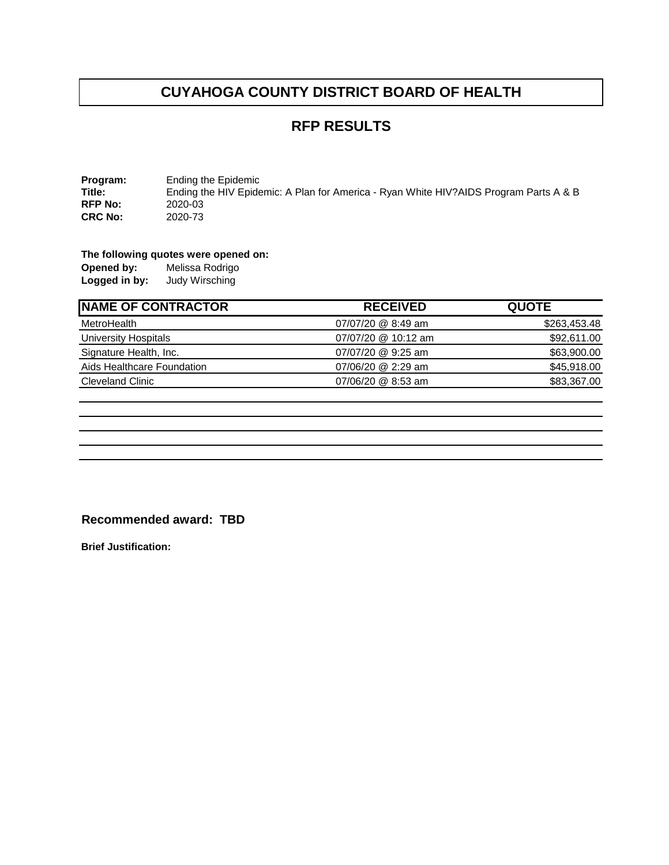### **RFP RESULTS**

**Program:** Ending the Epidemic<br>Title: Ending the HIV Epide Ending the HIV Epidemic: A Plan for America - Ryan White HIV?AIDS Program Parts A & B<br>2020-03 **RFP No:** 2020-03<br>**CRC No:** 2020-73 **CRC No:** 

# **The following quotes were opened on:**

**Opened by: Logged in by:** Judy Wirsching

| <b>NAME OF CONTRACTOR</b>  | <b>RECEIVED</b>     | <b>QUOTE</b> |
|----------------------------|---------------------|--------------|
| MetroHealth                | 07/07/20 @ 8:49 am  | \$263,453.48 |
| University Hospitals       | 07/07/20 @ 10:12 am | \$92,611.00  |
| Signature Health, Inc.     | 07/07/20 @ 9:25 am  | \$63,900.00  |
| Aids Healthcare Foundation | 07/06/20 @ 2:29 am  | \$45,918.00  |
| <b>Cleveland Clinic</b>    | 07/06/20 @ 8:53 am  | \$83,367.00  |

#### **Recommended award: TBD**

**Brief Justification:**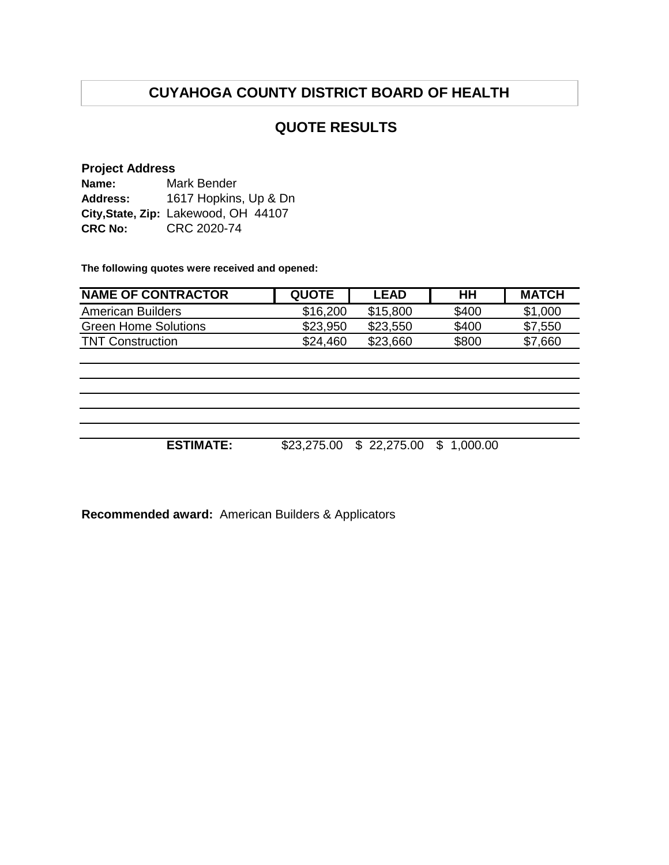### **QUOTE RESULTS**

#### **Project Address**

| Name:           | Mark Bender                          |
|-----------------|--------------------------------------|
| <b>Address:</b> | 1617 Hopkins, Up & Dn                |
|                 | City, State, Zip: Lakewood, OH 44107 |
| <b>CRC No:</b>  | CRC 2020-74                          |

**The following quotes were received and opened:**

| <b>NAME OF CONTRACTOR</b>   | <b>QUOTE</b> | LEAD     | HН    | <b>MATCH</b> |
|-----------------------------|--------------|----------|-------|--------------|
| American Builders           | \$16,200     | \$15,800 | \$400 | \$1,000      |
| <b>Green Home Solutions</b> | \$23,950     | \$23,550 | \$400 | \$7,550      |
| <b>TNT Construction</b>     | \$24,460     | \$23,660 | \$800 | \$7,660      |

**ESTIMATE:** \$23,275.00 \$ 22,275.00 \$ 1,000.00

**Recommended award:** American Builders & Applicators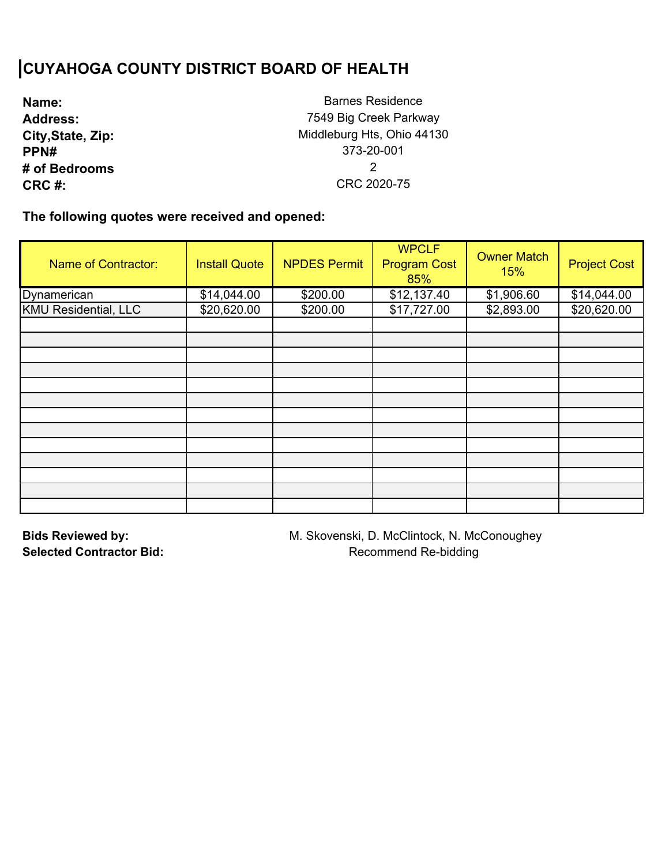| Name:             |
|-------------------|
| <b>Address:</b>   |
| City, State, Zip: |
| <b>PPN#</b>       |
| # of Bedrooms     |
| CRC #:            |

Barnes Residence 7549 Big Creek Parkway Middleburg Hts, Ohio 44130 373-20-001 2 CRC 2020-75

**The following quotes were received and opened:** 

| <b>Name of Contractor:</b>  | <b>Install Quote</b> | <b>NPDES Permit</b> | <b>WPCLF</b><br><b>Program Cost</b><br>85% | <b>Owner Match</b><br>15% | <b>Project Cost</b> |
|-----------------------------|----------------------|---------------------|--------------------------------------------|---------------------------|---------------------|
| Dynamerican                 | \$14,044.00          | \$200.00            | \$12,137.40                                | \$1,906.60                | \$14,044.00         |
| <b>KMU Residential, LLC</b> | \$20,620.00          | \$200.00            | \$17,727.00                                | \$2,893.00                | \$20,620.00         |
|                             |                      |                     |                                            |                           |                     |
|                             |                      |                     |                                            |                           |                     |
|                             |                      |                     |                                            |                           |                     |
|                             |                      |                     |                                            |                           |                     |
|                             |                      |                     |                                            |                           |                     |
|                             |                      |                     |                                            |                           |                     |
|                             |                      |                     |                                            |                           |                     |
|                             |                      |                     |                                            |                           |                     |
|                             |                      |                     |                                            |                           |                     |
|                             |                      |                     |                                            |                           |                     |
|                             |                      |                     |                                            |                           |                     |
|                             |                      |                     |                                            |                           |                     |
|                             |                      |                     |                                            |                           |                     |

**Bids Reviewed by: Selected Contractor Bid:**  M. Skovenski, D. McClintock, N. McConoughey Recommend Re-bidding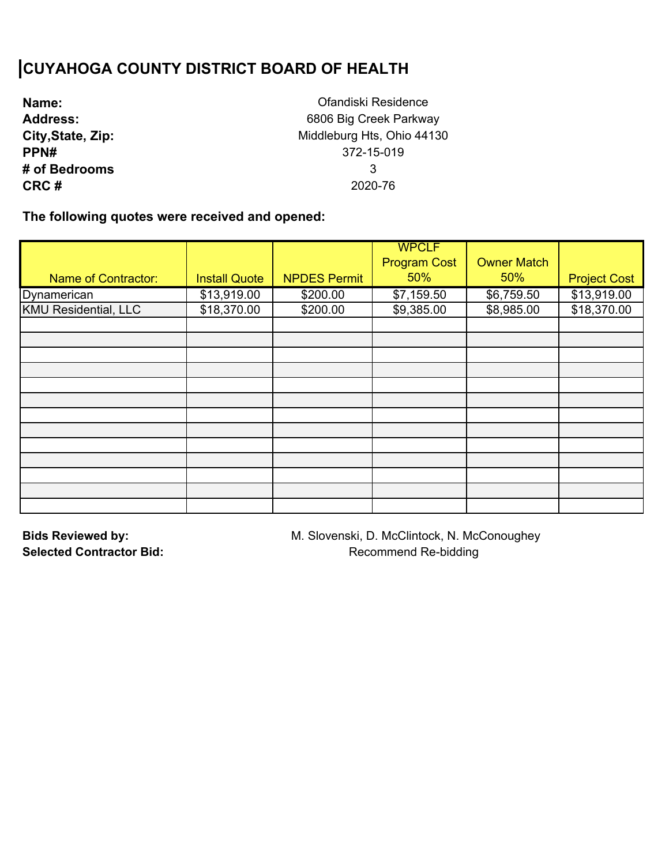| Name:             |
|-------------------|
| <b>Address:</b>   |
| City, State, Zip: |
| PPN#              |
| # of Bedrooms     |
| CRC#              |

Ofandiski Residence 6806 Big Creek Parkway Middleburg Hts, Ohio 44130 372-15-019 3 2020-76

**The following quotes were received and opened:** 

|                             |                      |                     | <b>WPCLF</b>        |                    |                     |
|-----------------------------|----------------------|---------------------|---------------------|--------------------|---------------------|
|                             |                      |                     | <b>Program Cost</b> | <b>Owner Match</b> |                     |
| <b>Name of Contractor:</b>  | <b>Install Quote</b> | <b>NPDES Permit</b> | 50%                 | 50%                | <b>Project Cost</b> |
| Dynamerican                 | \$13,919.00          | \$200.00            | \$7,159.50          | \$6,759.50         | \$13,919.00         |
| <b>KMU Residential, LLC</b> | \$18,370.00          | \$200.00            | \$9,385.00          | \$8,985.00         | \$18,370.00         |
|                             |                      |                     |                     |                    |                     |
|                             |                      |                     |                     |                    |                     |
|                             |                      |                     |                     |                    |                     |
|                             |                      |                     |                     |                    |                     |
|                             |                      |                     |                     |                    |                     |
|                             |                      |                     |                     |                    |                     |
|                             |                      |                     |                     |                    |                     |
|                             |                      |                     |                     |                    |                     |
|                             |                      |                     |                     |                    |                     |
|                             |                      |                     |                     |                    |                     |
|                             |                      |                     |                     |                    |                     |
|                             |                      |                     |                     |                    |                     |
|                             |                      |                     |                     |                    |                     |

**Bids Reviewed by: Selected Contractor Bid:**  M. Slovenski, D. McClintock, N. McConoughey Recommend Re-bidding